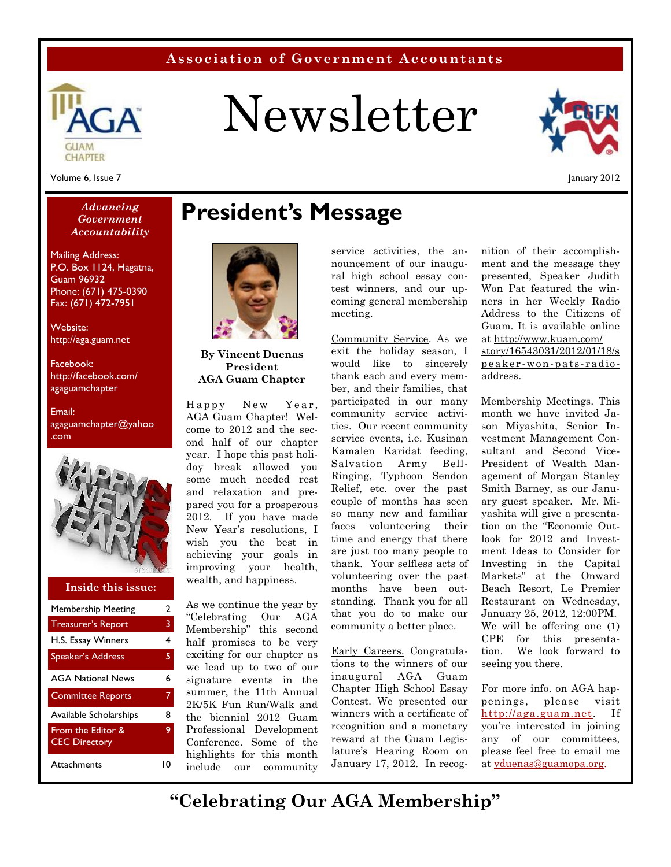### **Association of Government Accountants**



# Newsletter



Volume 6, Issue 7

January 2012

#### *Advancing Government Accountability*

Mailing Address: P.O. Box 1124, Hagatna, Guam 96932 Phone: (671) 475-0390 Fax: (671) 472-7951

Website: http://aga.guam.net

Facebook: http://facebook.com/ agaguamchapter

Email: agaguamchapter@yahoo .com



#### **Inside this issue:**

| <b>Membership Meeting</b>                 | $\mathbf{2}$ | As w          |
|-------------------------------------------|--------------|---------------|
| <b>Treasurer's Report</b>                 | 3            | "Cel<br>Men   |
| H.S. Essay Winners                        | 4            | half          |
| <b>Speaker's Address</b>                  | 5.           | excit<br>we l |
| <b>AGA National News</b>                  | 6            | sign          |
| <b>Committee Reports</b>                  | 7            | sum<br>2K/5   |
| Available Scholarships                    | 8            | the           |
| From the Editor &<br><b>CEC Directory</b> | 9            | Prof<br>Conf  |
| Attachments                               | 10           | high<br>inah  |

### **President's Message**



**By Vincent Duenas President AGA Guam Chapter**

AGA Guam Chapter! Welcome to 2012 and the second half of our chapter year. I hope this past holiday break allowed you some much needed rest and relaxation and prepared you for a prosperous 2012. If you have made New Year's resolutions, I wish you the best in achieving your goals in improving your health, wealth, and happiness.

H.S. Essay Winners 4 half promises to be very AGA National News 6 signature events in the <sup>inau</sup> Available Scholarships 8 the biennial 2012 Guam <sup>winners</sup> wi **9** Professional Development <sup>reco</sup> Attachments 10 include our community Treasurer's Report 3 Membership" this second community As we continue the year by "Celebrating Our AGA exciting for our chapter as we lead up to two of our summer, the 11th Annual 2K/5K Fun Run/Walk and Conference. Some of the highlights for this month

service activities, the announcement of our inaugural high school essay contest winners, and our upcoming general membership meeting.

By Vincent Duenas<br>
President exit the holid<br>
AGA Guam Chapter thank each an<br>
Happy New Year, participated in<br>
AGA Guam Chapter! Wel-<br>
ties Our nearly Community Service. As we exit the holiday season, I would like to sincerely thank each and every member, and their families, that participated in our many community service activities. Our recent community service events, i.e. Kusinan Kamalen Karidat feeding, Salvation Army Bell- Ringing, Typhoon Sendon Relief, etc. over the past couple of months has seen so many new and familiar faces volunteering their time and energy that there are just too many people to thank. Your selfless acts of volunteering over the past months have been outstanding. Thank you for all that you do to make our community a better place.

> Early Careers. Congratulations to the winners of our inaugural AGA Guam Chapter High School Essay Contest. We presented our winners with a certificate of recognition and a monetary reward at the Guam Legislature's Hearing Room on January 17, 2012. In recog

nition of their accomplishment and the message they presented, Speaker Judith Won Pat featured the winners in her Weekly Radio Address to the Citizens of Guam. It is available online at http://www.kuam.com/ story/16543031/2012/01/18/s peaker -won-pats - radio address.

Membership Meetings. This month we have invited Jason Miyashita, Senior Investment Management Consultant and Second Vice- President of Wealth Management of Morgan Stanley Smith Barney, as our January guest speaker. Mr. Miyashita will give a presentation on the "Economic Outlook for 2012 and Investment Ideas to Consider for Investing in the Capital Markets" at the Onward Beach Resort, Le Premier Restaurant on Wednesday, January 25, 2012, 12:00PM. We will be offering one (1) CPE for this presentation. We look forward to seeing you there.

For more info. on AGA happenings, please visit http://aga.guam.net. If you're interested in joining any of our committees, please feel free to email me at vduenas@guamopa.org.

**"Celebrating Our AGA Membership"**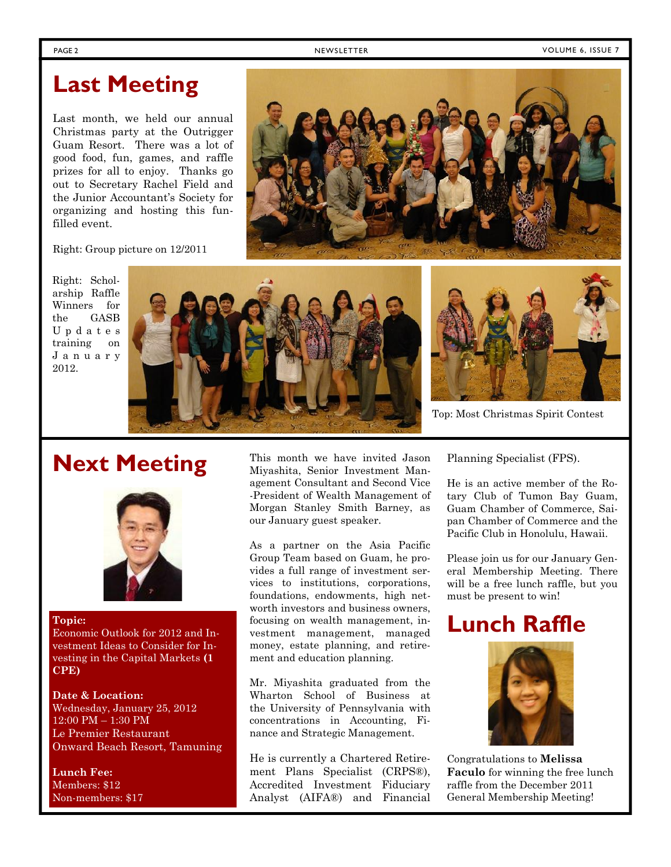PAGE 2 NEWSLETTER PAGE 2 NEWSLETTER NEWSLETTER SERVICES AND RESOURCH A SERVICE 2

### **Last Meeting**

Last month, we held our annual Christmas party at the Outrigger Guam Resort. There was a lot of good food, fun, games, and raffle prizes for all to enjoy. Thanks go out to Secretary Rachel Field and the Junior Accountant's Society for organizing and hosting this funfilled event.



Right: Group picture on 12/2011

Right: Scholarship Raffle Winners for the GASB training on 2012.





Top: Most Christmas Spirit Contest

### **Next Meeting**



#### **Topic:**

Economic Outlook for 2012 and Investment Ideas to Consider for Investing in the Capital Markets **(1 CPE)**

### **Date & Location:** Wednesday, January 25, 2012 12:00 PM – 1:30 PM Le Premier Restaurant Onward Beach Resort, Tamuning

**Lunch Fee:** Members: \$12 Non-members: \$17

This month we have invited Jason Miyashita, Senior Investment Management Consultant and Second Vice -President of Wealth Management of Morgan Stanley Smith Barney, as our January guest speaker.

As a partner on the Asia Pacific Group Team based on Guam, he provides a full range of investment services to institutions, corporations, foundations, endowments, high net worth investors and business owners, focusing on wealth management, investment management, managed money, estate planning, and retirement and education planning.

Mr. Miyashita graduated from the Wharton School of Business at the University of Pennsylvania with concentrations in Accounting, Finance and Strategic Management.

He is currently a Chartered Retirement Plans Specialist (CRPS®), Accredited Investment Fiduciary Analyst (AIFA®) and Financial Planning Specialist (FPS).

He is an active member of the Rotary Club of Tumon Bay Guam, Guam Chamber of Commerce, Saipan Chamber of Commerce and the Pacific Club in Honolulu, Hawaii.

Please join us for our January General Membership Meeting. There will be a free lunch raffle, but you must be present to win!

## **Lunch Raffle**



Congratulations to **Melissa Faculo** for winning the free lunch raffle from the December 2011 General Membership Meeting!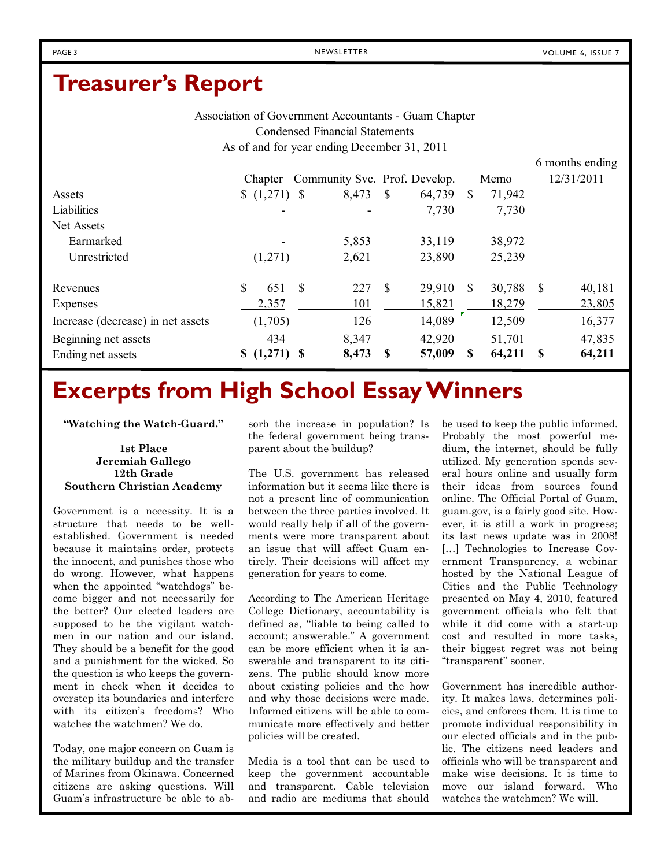### **Treasurer's Report**

Association of Government Accountants - Guam Chapter Condensed Financial Statements As of and for year ending December 31, 2011

6 months ending Chapter Community Svc. Prof. Develop. Memo 12/31/2011 Assets  $\begin{array}{ccccccccc}\n & 8 & (1,271) & 8 & 8.473 & 8 & 64.739 & 8 & 71.942\n\end{array}$ Liabilities 7,730 7,730 7,730 Net Assets Earmarked 1988 - 5,853 33,119 38,972 Unrestricted (1,271) 2,621 23,890 25,239 Revenues \$ 651 \$ 227 \$ 29,910 \$ 30,788 \$ 40,181 Expenses 2,357 101 15,821 18,279 23,805 Increase (decrease) in net assets (1,705) 126 14,089 12,509 16,377 Beginning net assets 434 42,920 51,701 47,835 Ending net assets **\$ (1,271) \$ 8,473 \$ 57,009 \$ 64,211 \$ 64,211**

## **Excerpts from High School Essay Winners**

**"Watching the Watch-Guard."**

#### **1st Place Jeremiah Gallego 12th Grade Southern Christian Academy**

Government is a necessity. It is a structure that needs to be well established. Government is needed because it maintains order, protects the innocent, and punishes those who do wrong. However, what happens when the appointed "watchdogs" become bigger and not necessarily for the better? Our elected leaders are supposed to be the vigilant watchmen in our nation and our island. They should be a benefit for the good and a punishment for the wicked. So the question is who keeps the government in check when it decides to overstep its boundaries and interfere with its citizen's freedoms? Who watches the watchmen? We do.

Today, one major concern on Guam is the military buildup and the transfer of Marines from Okinawa. Concerned citizens are asking questions. Will Guam's infrastructure be able to absorb the increase in population? Is the federal government being transparent about the buildup?

The U.S. government has released information but it seems like there is not a present line of communication between the three parties involved. It would really help if all of the governments were more transparent about an issue that will affect Guam entirely. Their decisions will affect my generation for years to come.

According to The American Heritage College Dictionary, accountability is defined as, "liable to being called to account; answerable." A government can be more efficient when it is answerable and transparent to its citizens. The public should know more about existing policies and the how and why those decisions were made. Informed citizens will be able to communicate more effectively and better policies will be created.

Media is a tool that can be used to keep the government accountable and transparent. Cable television and radio are mediums that should

be used to keep the public informed. Probably the most powerful medium, the internet, should be fully utilized. My generation spends several hours online and usually form their ideas from sources found online. The Official Portal of Guam, guam.gov, is a fairly good site. However, it is still a work in progress; its last news update was in 2008! [...] Technologies to Increase Government Transparency, a webinar hosted by the National League of Cities and the Public Technology presented on May 4, 2010, featured government officials who felt that while it did come with a start-up cost and resulted in more tasks, their biggest regret was not being "transparent" sooner.

Government has incredible authority. It makes laws, determines policies, and enforces them. It is time to promote individual responsibility in our elected officials and in the public. The citizens need leaders and officials who will be transparent and make wise decisions. It is time to move our island forward. Who watches the watchmen? We will.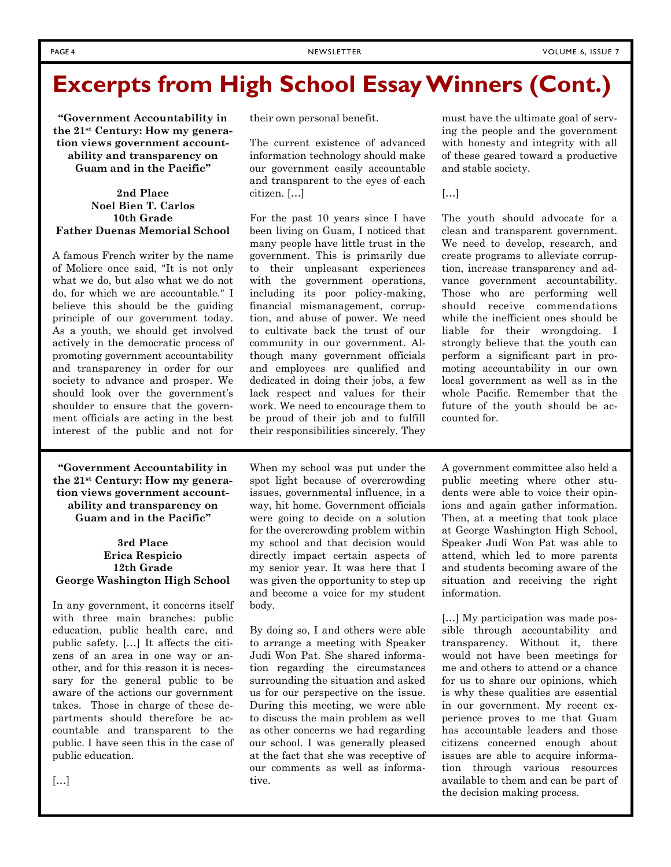## **Excerpts from High School Essay Winners (Cont.)**

**"Government Accountability in the 21st Century: How my generation views government accountability and transparency on Guam and in the Pacific"**

#### **2nd Place Noel Bien T. Carlos 10th Grade Father Duenas Memorial School**

A famous French writer by the name of Moliere once said, "It is not only what we do, but also what we do not do, for which we are accountable." I believe this should be the guiding principle of our government today. As a youth, we should get involved actively in the democratic process of promoting government accountability and transparency in order for our society to advance and prosper. We should look over the government's shoulder to ensure that the government officials are acting in the best interest of the public and not for

**"Government Accountability in the 21st Century: How my generation views government accountability and transparency on Guam and in the Pacific"**

#### **3rd Place Erica Respicio 12th Grade George Washington High School**

In any government, it concerns itself with three main branches: public education, public health care, and public safety. […] It affects the citizens of an area in one way or another, and for this reason it is necessary for the general public to be aware of the actions our government takes. Those in charge of these departments should therefore be accountable and transparent to the public. I have seen this in the case of public education.

[…]

their own personal benefit.

The current existence of advanced information technology should make our government easily accountable and transparent to the eyes of each citizen. […]

For the past 10 years since I have been living on Guam, I noticed that many people have little trust in the government. This is primarily due to their unpleasant experiences with the government operations, including its poor policy-making, financial mismanagement, corruption, and abuse of power. We need to cultivate back the trust of our community in our government. Although many government officials and employees are qualified and dedicated in doing their jobs, a few lack respect and values for their work. We need to encourage them to be proud of their job and to fulfill their responsibilities sincerely. They

When my school was put under the spot light because of overcrowding issues, governmental influence, in a way, hit home. Government officials were going to decide on a solution for the overcrowding problem within my school and that decision would directly impact certain aspects of my senior year. It was here that I was given the opportunity to step up and become a voice for my student body.

By doing so, I and others were able to arrange a meeting with Speaker Judi Won Pat. She shared information regarding the circumstances surrounding the situation and asked us for our perspective on the issue. During this meeting, we were able to discuss the main problem as well as other concerns we had regarding our school. I was generally pleased at the fact that she was receptive of our comments as well as informative.

must have the ultimate goal of serving the people and the government with honesty and integrity with all of these geared toward a productive and stable society.

[…]

The youth should advocate for a clean and transparent government. We need to develop, research, and create programs to alleviate corruption, increase transparency and advance government accountability. Those who are performing well should receive commendations while the inefficient ones should be liable for their wrongdoing. I strongly believe that the youth can perform a significant part in promoting accountability in our own local government as well as in the whole Pacific. Remember that the future of the youth should be accounted for.

A government committee also held a public meeting where other students were able to voice their opinions and again gather information. Then, at a meeting that took place at George Washington High School, Speaker Judi Won Pat was able to attend, which led to more parents and students becoming aware of the situation and receiving the right information.

[...] My participation was made possible through accountability and transparency. Without it, there would not have been meetings for me and others to attend or a chance for us to share our opinions, which is why these qualities are essential in our government. My recent experience proves to me that Guam has accountable leaders and those citizens concerned enough about issues are able to acquire information through various resources available to them and can be part of the decision making process.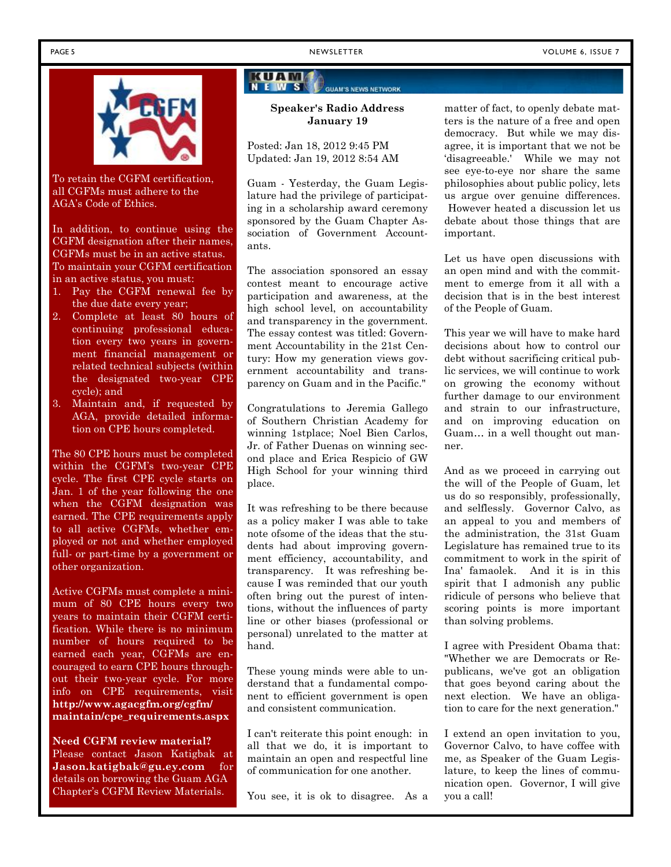

To retain the CGFM certification, all CGFMs must adhere to the AGA's Code of Ethics.

In addition, to continue using the CGFM designation after their names, CGFMs must be in an active status. To maintain your CGFM certification in an active status, you must:

- 1. Pay the CGFM renewal fee by the due date every year;
- 2. Complete at least 80 hours of continuing professional education every two years in government financial management or related technical subjects (within the designated two-year CPE cycle); and
- 3. Maintain and, if requested by AGA, provide detailed information on CPE hours completed.

The 80 CPE hours must be completed within the CGFM's two-year CPE cycle. The first CPE cycle starts on Jan. 1 of the year following the one when the CGFM designation was earned. The CPE requirements apply to all active CGFMs, whether employed or not and whether employed full- or part-time by a government or other organization.

Active CGFMs must complete a minimum of 80 CPE hours every two years to maintain their CGFM certification. While there is no minimum number of hours required to be earned each year, CGFMs are encouraged to earn CPE hours throughout their two-year cycle. For more info on CPE requirements, visit **http://www.agacgfm.org/cgfm/ maintain/cpe\_requirements.aspx**

**Need CGFM review material?** Please contact Jason Katigbak at **Jason.katigbak@gu.ey.com** for details on borrowing the Guam AGA Chapter's CGFM Review Materials.

### KUAM

#### **Speaker's Radio Address January 19**

**GUAM'S NEWS NETWORK** 

Posted: Jan 18, 2012 9:45 PM Updated: Jan 19, 2012 8:54 AM

Guam - Yesterday, the Guam Legislature had the privilege of participating in a scholarship award ceremony sponsored by the Guam Chapter Association of Government Accountants.

The association sponsored an essay contest meant to encourage active participation and awareness, at the high school level, on accountability and transparency in the government. The essay contest was titled: Government Accountability in the 21st Century: How my generation views government accountability and transparency on Guam and in the Pacific."

Congratulations to Jeremia Gallego of Southern Christian Academy for winning 1stplace; Noel Bien Carlos, Jr. of Father Duenas on winning second place and Erica Respicio of GW High School for your winning third place.

It was refreshing to be there because as a policy maker I was able to take note ofsome of the ideas that the students had about improving government efficiency, accountability, and transparency. It was refreshing because I was reminded that our youth often bring out the purest of intentions, without the influences of party line or other biases (professional or personal) unrelated to the matter at hand.

These young minds were able to understand that a fundamental component to efficient government is open and consistent communication.

I can't reiterate this point enough: in all that we do, it is important to maintain an open and respectful line of communication for one another.

You see, it is ok to disagree. As a

matter of fact, to openly debate matters is the nature of a free and open democracy. But while we may disagree, it is important that we not be 'disagreeable.' While we may not see eye-to-eye nor share the same philosophies about public policy, lets us argue over genuine differences. However heated a discussion let us debate about those things that are important.

Let us have open discussions with an open mind and with the commitment to emerge from it all with a decision that is in the best interest of the People of Guam.

This year we will have to make hard decisions about how to control our debt without sacrificing critical public services, we will continue to work on growing the economy without further damage to our environment and strain to our infrastructure, and on improving education on Guam… in a well thought out manner.

And as we proceed in carrying out the will of the People of Guam, let us do so responsibly, professionally, and selflessly. Governor Calvo, as an appeal to you and members of the administration, the 31st Guam Legislature has remained true to its commitment to work in the spirit of Ina' famaolek. And it is in this spirit that I admonish any public ridicule of persons who believe that scoring points is more important than solving problems.

I agree with President Obama that: "Whether we are Democrats or Republicans, we've got an obligation that goes beyond caring about the next election. We have an obligation to care for the next generation."

I extend an open invitation to you, Governor Calvo, to have coffee with me, as Speaker of the Guam Legislature, to keep the lines of communication open. Governor, I will give you a call!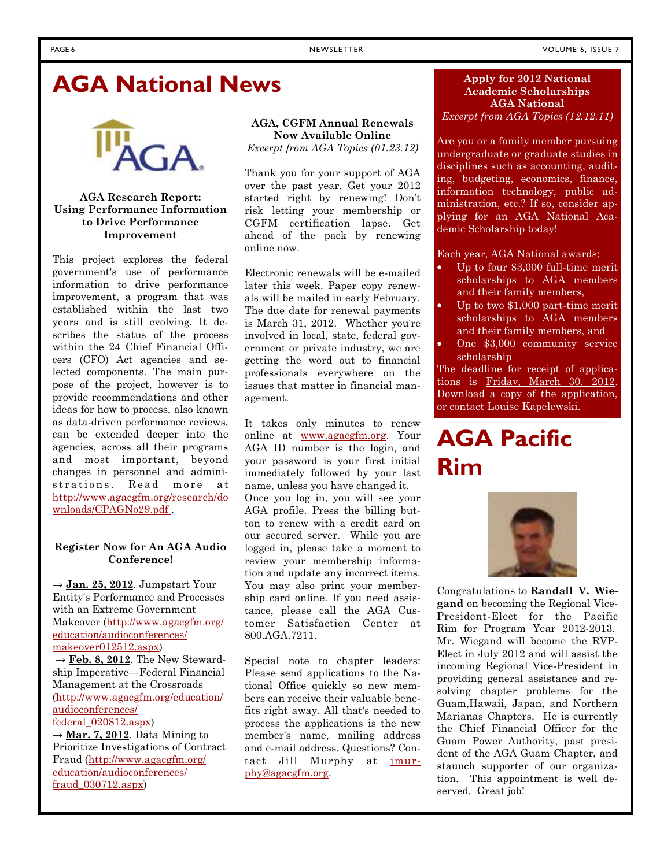### **AGA National News**



#### **AGA Research Report: Using Performance Information to Drive Performance Improvement**

This project explores the federal government's use of performance information to drive performance improvement, a program that was established within the last two years and is still evolving. It describes the status of the process within the 24 Chief Financial Officers (CFO) Act agencies and selected components. The main purpose of the project, however is to provide recommendations and other ideas for how to process, also known as data-driven performance reviews, can be extended deeper into the agencies, across all their programs and most important, beyond changes in personnel and adminias data-driven performance reviews, It takes onl<br>can be extended deeper into the online at <u>wy</u><br>agencies, across all their programs AGA ID num<br>and most important, beyond your passwor<br>changes in personnel and admini-immedia http://www.agacgfm.org/research/do wnloads/CPAGNo29.pdf .

#### **Register Now for An AGA Audio Conference!**

 $\rightarrow$  Jan. 25, 2012. Jumpstart Your Entity's Performance and Processes with an Extreme Government Makeover (http://www.agacgfm.org/ education/audioconferences/ makeover012512.aspx)

 $\rightarrow$  **Feb. 8, 2012**. The New Stewardship Imperative—Federal Financial Management at the Crossroads (http://www.agacgfm.org/education/ audioconferences/ federal\_020812.aspx)

 $\rightarrow$  **Mar. 7, 2012**. Data Mining to Prioritize Investigations of Contract Fraud (http://www.agacgfm.org/ education/audioconferences/ fraud\_030712.aspx)

### **AGA, CGFM Annual Renewals Now Available Online**

*Excerpt from AGA Topics (01.23.12)*

Thank you for your support of AGA over the past year. Get your 2012 started right by renewing! Don't risk letting your membership or CGFM certification lapse. Get ahead of the pack by renewing online now.

Electronic renewals will be e-mailed later this week. Paper copy renewals will be mailed in early February. The due date for renewal payments is March 31, 2012. Whether you're involved in local, state, federal government or private industry, we are getting the word out to financial professionals everywhere on the issues that matter in financial management.

It takes only minutes to renew online at www.agacgfm.org. Your AGA ID number is the login, and your password is your first initial immediately followed by your last name, unless you have changed it.

Once you log in, you will see your AGA profile. Press the billing button to renew with a credit card on our secured server. While you are logged in, please take a moment to review your membership information and update any incorrect items. You may also print your membership card online. If you need assistance, please call the AGA Customer Satisfaction Center at 800.AGA.7211.

Special note to chapter leaders: Please send applications to the National Office quickly so new members can receive their valuable benefits right away. All that's needed to process the applications is the new member's name, mailing address and e-mail address. Questions? Contact Jill Murphy at jmurphy@agacgfm.org.

#### **Apply for 2012 National Academic Scholarships AGA National** *Excerpt from AGA Topics (12.12.11)*

Are you or a family member pursuing undergraduate or graduate studies in disciplines such as accounting, auditing, budgeting, economics, finance, information technology, public administration, etc.? If so, consider applying for an AGA National Academic Scholarship today!

#### Each year, AGA National awards:

- Up to four \$3,000 full-time merit scholarships to AGA members and their family members,
- Up to two \$1,000 part-time merit scholarships to AGA members and their family members, and
- One \$3,000 community service scholarship

The deadline for receipt of applications is Friday, March 30, 2012. Download a copy of the application, or contact Louise Kapelewski.

## **AGA Pacific Rim**



Congratulations to **Randall V. Wiegand** on becoming the Regional Vice- President-Elect for the Pacific Rim for Program Year 2012-2013. Mr. Wiegand will become the RVP- Elect in July 2012 and will assist the incoming Regional Vice-President in providing general assistance and resolving chapter problems for the Guam,Hawaii, Japan, and Northern Marianas Chapters. He is currently the Chief Financial Officer for the Guam Power Authority, past president of the AGA Guam Chapter, and staunch supporter of our organization. This appointment is well deserved. Great job!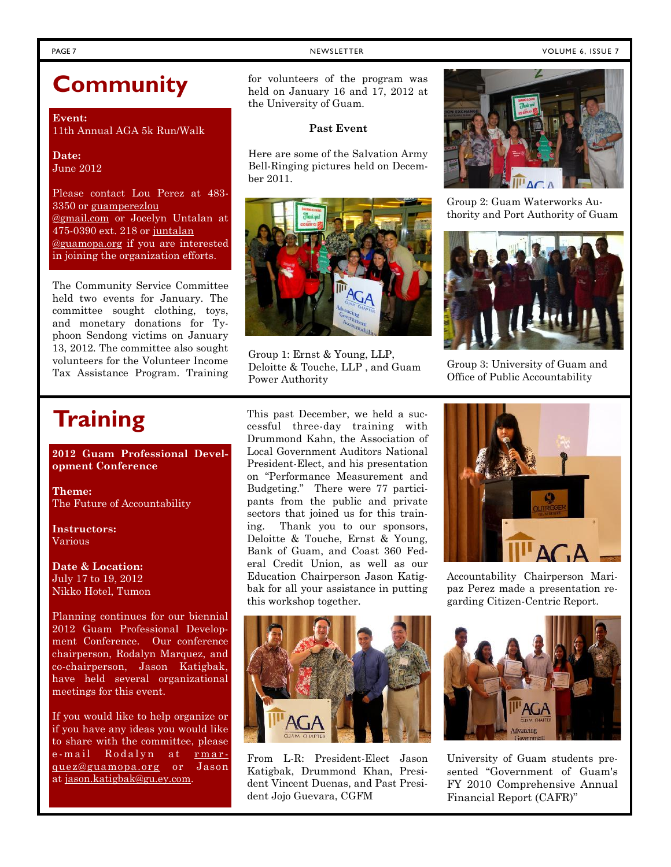#### PAGE 7 NEWSLETTER NEWSLETTER NEWSLETTER VOLUME 6, ISSUE 7

### **Community**

**Event:** 11th Annual AGA 5k Run/Walk

**Date:** June 2012

Please contact Lou Perez at 483- 3350 or guamperezlou @gmail.com or Jocelyn Untalan at 475-0390 ext. 218 or juntalan @guamopa.org if you are interested in joining the organization efforts.

The Community Service Committee held two events for January. The committee sought clothing, toys, and monetary donations for Typhoon Sendong victims on January 13, 2012. The committee also sought volunteers for the Volunteer Income Tax Assistance Program. Training for volunteers of the program was held on January 16 and 17, 2012 at the University of Guam.

#### **Past Event**

Here are some of the Salvation Army Bell-Ringing pictures held on December 2011.



Group 1: Ernst & Young, LLP, Deloitte & Touche, LLP , and Guam Power Authority

z

Group 2: Guam Waterworks Authority and Port Authority of Guam



Group 3: University of Guam and Office of Public Accountability

## **Training**

**2012 Guam Professional Development Conference**

**Theme:** The Future of Accountability

**Instructors:** Various

**Date & Location:** July 17 to 19, 2012 Nikko Hotel, Tumon

Planning continues for our biennial 2012 Guam Professional Development Conference. Our conference chairperson, Rodalyn Marquez, and co-chairperson, Jason Katigbak, have held several organizational meetings for this event.

If you would like to help organize or if you have any ideas you would like to share with the committee, please meetings for this event.<br>
If you would like to help organize or<br>
if you have any ideas you would like<br>
to share with the committee, please<br>
e-mail Rodalyn at <u>rmar-</u><br>
From L-R:<br>
<u>quez@guamopa.org</u> or Jason Katigbak. Di

This past December, we held a successful three-day training with Drummond Kahn, the Association of Local Government Auditors National President-Elect, and his presentation on "Performance Measurement and Budgeting." There were 77 participants from the public and private sectors that joined us for this training. Thank you to our sponsors, Deloitte & Touche, Ernst & Young, Bank of Guam, and Coast 360 Federal Credit Union, as well as our Education Chairperson Jason Katigbak for all your assistance in putting this workshop together.



e-mail Noualyn at <u>Finar-</u><br>
<u>Guez@guamopa.org</u> or Jason Katigbak, Drummond Khan, Presi-<br>
at <u>jason.katigbak@gu.ey.com</u>. Hent Vincent Duenas and Past Presi-Katigbak, Drummond Khan, President Vincent Duenas, and Past President Jojo Guevara, CGFM



Accountability Chairperson Maripaz Perez made a presentation regarding Citizen-Centric Report.



University of Guam students presented "Government of Guam's FY 2010 Comprehensive Annual Financial Report (CAFR)"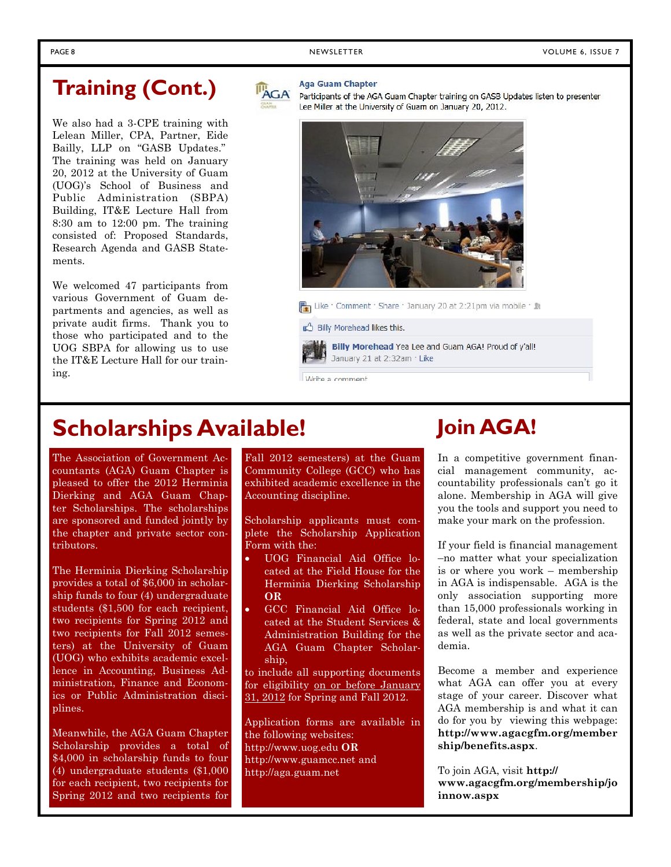### **Training (Cont.)**

We also had a 3-CPE training with Lelean Miller, CPA, Partner, Eide Bailly, LLP on "GASB Updates." The training was held on January 20, 2012 at the University of Guam (UOG)'s School of Business and Public Administration (SBPA) Building, IT&E Lecture Hall from 8:30 am to 12:00 pm. The training consisted of: Proposed Standards, Research Agenda and GASB Statements.

We welcomed 47 participants from various Government of Guam departments and agencies, as well as private audit firms. Thank you to those who participated and to the UOG SBPA for allowing us to use the IT&E Lecture Hall for our training.



#### **Aga Guam Chapter**

Participants of the AGA Guam Chapter training on GASB Updates listen to presenter Lee Miller at the University of Guam on January 20, 2012.



日 Like · Comment · Share · January 20 at 2:21pm via mobile · B

Billy Morehead likes this.

Billy Morehead Yea Lee and Guam AGA! Proud of y'all! January 21 at 2:32am · Like

Write a comment

### **Scholarships Available!**

The Association of Government Accountants (AGA) Guam Chapter is pleased to offer the 2012 Herminia Dierking and AGA Guam Chapter Scholarships. The scholarships are sponsored and funded jointly by the chapter and private sector contributors.

The Herminia Dierking Scholarship provides a total of \$6,000 in scholarship funds to four (4) undergraduate students (\$1,500 for each recipient, two recipients for Spring 2012 and two recipients for Fall 2012 semesters) at the University of Guam (UOG) who exhibits academic excellence in Accounting, Business Administration, Finance and Economics or Public Administration disciplines.

Meanwhile, the AGA Guam Chapter Scholarship provides a total of \$4,000 in scholarship funds to four (4) undergraduate students (\$1,000 for each recipient, two recipients for Spring 2012 and two recipients for

Fall 2012 semesters) at the Guam Community College (GCC) who has exhibited academic excellence in the Accounting discipline.

Scholarship applicants must complete the Scholarship Application Form with the:

- UOG Financial Aid Office located at the Field House for the Herminia Dierking Scholarship **OR**
- GCC Financial Aid Office located at the Student Services & Administration Building for the AGA Guam Chapter Scholarship,

to include all supporting documents for eligibility on or before January 31, 2012 for Spring and Fall 2012.

Application forms are available in the following websites: http://www.uog.edu **OR** http://www.guamcc.net and http://aga.guam.net

## **Join AGA!**

In a competitive government financial management community, accountability professionals can't go it alone. Membership in AGA will give you the tools and support you need to make your mark on the profession.

If your field is financial management –no matter what your specialization is or where you work – membership in AGA is indispensable. AGA is the only association supporting more than 15,000 professionals working in federal, state and local governments as well as the private sector and academia.

Become a member and experience what AGA can offer you at every stage of your career. Discover what AGA membership is and what it can do for you by viewing this webpage: **http://www.agacgfm.org/member ship/benefits.aspx**.

To join AGA, visit **http:// www.agacgfm.org/membership/jo innow.aspx**